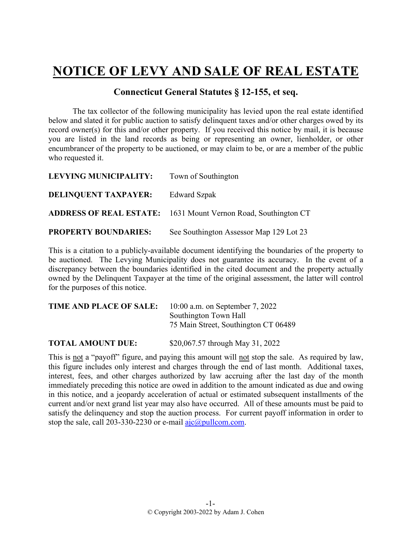## **NOTICE OF LEVY AND SALE OF REAL ESTATE**

## **Connecticut General Statutes § 12-155, et seq.**

The tax collector of the following municipality has levied upon the real estate identified below and slated it for public auction to satisfy delinquent taxes and/or other charges owed by its record owner(s) for this and/or other property. If you received this notice by mail, it is because you are listed in the land records as being or representing an owner, lienholder, or other encumbrancer of the property to be auctioned, or may claim to be, or are a member of the public who requested it.

| LEVYING MUNICIPALITY:       | Town of Southington                                                   |
|-----------------------------|-----------------------------------------------------------------------|
| <b>DELINQUENT TAXPAYER:</b> | <b>Edward Szpak</b>                                                   |
|                             | <b>ADDRESS OF REAL ESTATE:</b> 1631 Mount Vernon Road, Southington CT |
| <b>PROPERTY BOUNDARIES:</b> | See Southington Assessor Map 129 Lot 23                               |

This is a citation to a publicly-available document identifying the boundaries of the property to be auctioned. The Levying Municipality does not guarantee its accuracy. In the event of a discrepancy between the boundaries identified in the cited document and the property actually owned by the Delinquent Taxpayer at the time of the original assessment, the latter will control for the purposes of this notice.

| TIME AND PLACE OF SALE: | 10:00 a.m. on September 7, 2022      |
|-------------------------|--------------------------------------|
|                         | Southington Town Hall                |
|                         | 75 Main Street, Southington CT 06489 |
|                         |                                      |

**TOTAL AMOUNT DUE:** \$20,067.57 through May 31, 2022

This is not a "payoff" figure, and paying this amount will not stop the sale. As required by law, this figure includes only interest and charges through the end of last month. Additional taxes, interest, fees, and other charges authorized by law accruing after the last day of the month immediately preceding this notice are owed in addition to the amount indicated as due and owing in this notice, and a jeopardy acceleration of actual or estimated subsequent installments of the current and/or next grand list year may also have occurred. All of these amounts must be paid to satisfy the delinquency and stop the auction process. For current payoff information in order to stop the sale, call 203-330-2230 or e-mail  $a$ jc $(a)$ pullcom.com.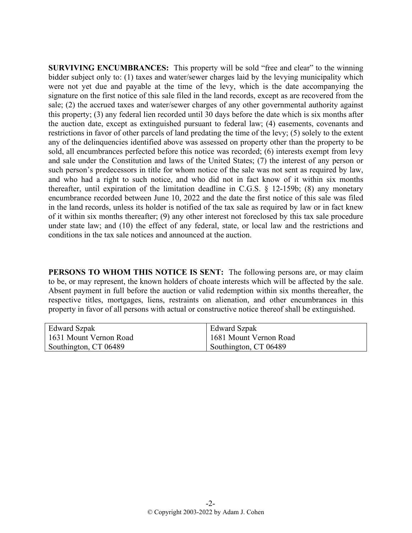**SURVIVING ENCUMBRANCES:** This property will be sold "free and clear" to the winning bidder subject only to: (1) taxes and water/sewer charges laid by the levying municipality which were not yet due and payable at the time of the levy, which is the date accompanying the signature on the first notice of this sale filed in the land records, except as are recovered from the sale; (2) the accrued taxes and water/sewer charges of any other governmental authority against this property; (3) any federal lien recorded until 30 days before the date which is six months after the auction date, except as extinguished pursuant to federal law; (4) easements, covenants and restrictions in favor of other parcels of land predating the time of the levy; (5) solely to the extent any of the delinquencies identified above was assessed on property other than the property to be sold, all encumbrances perfected before this notice was recorded; (6) interests exempt from levy and sale under the Constitution and laws of the United States; (7) the interest of any person or such person's predecessors in title for whom notice of the sale was not sent as required by law, and who had a right to such notice, and who did not in fact know of it within six months thereafter, until expiration of the limitation deadline in C.G.S. § 12-159b; (8) any monetary encumbrance recorded between June 10, 2022 and the date the first notice of this sale was filed in the land records, unless its holder is notified of the tax sale as required by law or in fact knew of it within six months thereafter; (9) any other interest not foreclosed by this tax sale procedure under state law; and (10) the effect of any federal, state, or local law and the restrictions and conditions in the tax sale notices and announced at the auction.

**PERSONS TO WHOM THIS NOTICE IS SENT:** The following persons are, or may claim to be, or may represent, the known holders of choate interests which will be affected by the sale. Absent payment in full before the auction or valid redemption within six months thereafter, the respective titles, mortgages, liens, restraints on alienation, and other encumbrances in this property in favor of all persons with actual or constructive notice thereof shall be extinguished.

| Edward Szpak           | <b>Edward Szpak</b>    |
|------------------------|------------------------|
| 1631 Mount Vernon Road | 1681 Mount Vernon Road |
| Southington, CT 06489  | Southington, CT 06489  |